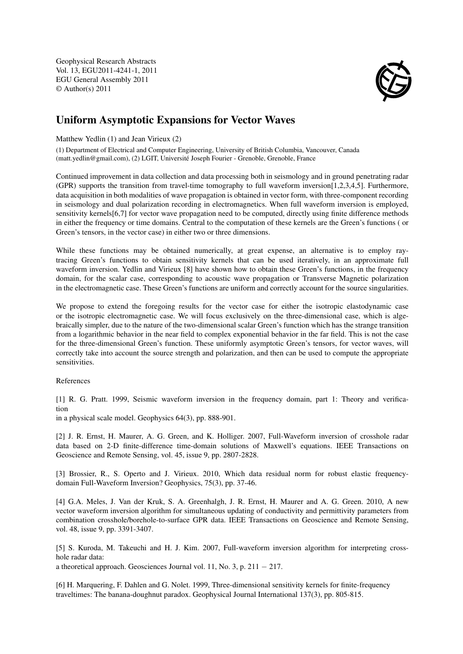Geophysical Research Abstracts Vol. 13, EGU2011-4241-1, 2011 EGU General Assembly 2011 © Author(s) 2011



## Uniform Asymptotic Expansions for Vector Waves

Matthew Yedlin (1) and Jean Virieux (2)

(1) Department of Electrical and Computer Engineering, University of British Columbia, Vancouver, Canada (matt.yedlin@gmail.com), (2) LGIT, Université Joseph Fourier - Grenoble, Grenoble, France

Continued improvement in data collection and data processing both in seismology and in ground penetrating radar (GPR) supports the transition from travel-time tomography to full waveform inversion[1,2,3,4,5]. Furthermore, data acquisition in both modalities of wave propagation is obtained in vector form, with three-component recording in seismology and dual polarization recording in electromagnetics. When full waveform inversion is employed, sensitivity kernels[6,7] for vector wave propagation need to be computed, directly using finite difference methods in either the frequency or time domains. Central to the computation of these kernels are the Green's functions ( or Green's tensors, in the vector case) in either two or three dimensions.

While these functions may be obtained numerically, at great expense, an alternative is to employ raytracing Green's functions to obtain sensitivity kernels that can be used iteratively, in an approximate full waveform inversion. Yedlin and Virieux [8] have shown how to obtain these Green's functions, in the frequency domain, for the scalar case, corresponding to acoustic wave propagation or Transverse Magnetic polarization in the electromagnetic case. These Green's functions are uniform and correctly account for the source singularities.

We propose to extend the foregoing results for the vector case for either the isotropic elastodynamic case or the isotropic electromagnetic case. We will focus exclusively on the three-dimensional case, which is algebraically simpler, due to the nature of the two-dimensional scalar Green's function which has the strange transition from a logarithmic behavior in the near field to complex exponential behavior in the far field. This is not the case for the three-dimensional Green's function. These uniformly asymptotic Green's tensors, for vector waves, will correctly take into account the source strength and polarization, and then can be used to compute the appropriate sensitivities.

## References

[1] R. G. Pratt. 1999, Seismic waveform inversion in the frequency domain, part 1: Theory and verification

in a physical scale model. Geophysics 64(3), pp. 888-901.

[2] J. R. Ernst, H. Maurer, A. G. Green, and K. Holliger. 2007, Full-Waveform inversion of crosshole radar data based on 2-D finite-difference time-domain solutions of Maxwell's equations. IEEE Transactions on Geoscience and Remote Sensing, vol. 45, issue 9, pp. 2807-2828.

[3] Brossier, R., S. Operto and J. Virieux. 2010, Which data residual norm for robust elastic frequencydomain Full-Waveform Inversion? Geophysics, 75(3), pp. 37-46.

[4] G.A. Meles, J. Van der Kruk, S. A. Greenhalgh, J. R. Ernst, H. Maurer and A. G. Green. 2010, A new vector waveform inversion algorithm for simultaneous updating of conductivity and permittivity parameters from combination crosshole/borehole-to-surface GPR data. IEEE Transactions on Geoscience and Remote Sensing, vol. 48, issue 9, pp. 3391-3407.

[5] S. Kuroda, M. Takeuchi and H. J. Kim. 2007, Full-waveform inversion algorithm for interpreting crosshole radar data:

a theoretical approach. Geosciences Journal vol. 11, No. 3, p.  $211 - 217$ .

[6] H. Marquering, F. Dahlen and G. Nolet. 1999, Three-dimensional sensitivity kernels for finite-frequency traveltimes: The banana-doughnut paradox. Geophysical Journal International 137(3), pp. 805-815.